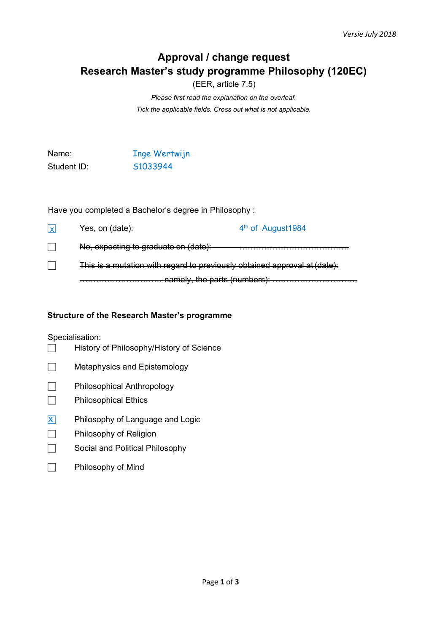# **Approval / change request Research Master's study programme Philosophy (120EC)**

(EER, article 7.5)

*Please first read the explanation on the overleaf. Tick the applicable fields. Cross out what is not applicable.*

Name: The Wertwijn Student ID: S1033944

Have you completed a Bachelor's degree in Philosophy :

| $\mathsf{X}$ | Yes, on (date):                                                                                                                                         | 4 <sup>th</sup> of August1984 |  |
|--------------|---------------------------------------------------------------------------------------------------------------------------------------------------------|-------------------------------|--|
|              | No, expecting to graduate on (date):                                                                                                                    |                               |  |
|              | This is a mutation with regard to previously obtained approval at (date):<br>namely the narte (numbers).<br><del>ומחזטוץ, נוזט parto (Humbol 3). </del> |                               |  |
|              |                                                                                                                                                         |                               |  |

## **Structure of the Research Master's programme**

Specialisation:

- History of Philosophy/History of Science
- Metaphysics and Epistemology
- **Philosophical Anthropology**
- **Philosophical Ethics**
- $\overline{X}$  Philosophy of Language and Logic
- **Philosophy of Religion**
- Social and Political Philosophy

## **Philosophy of Mind**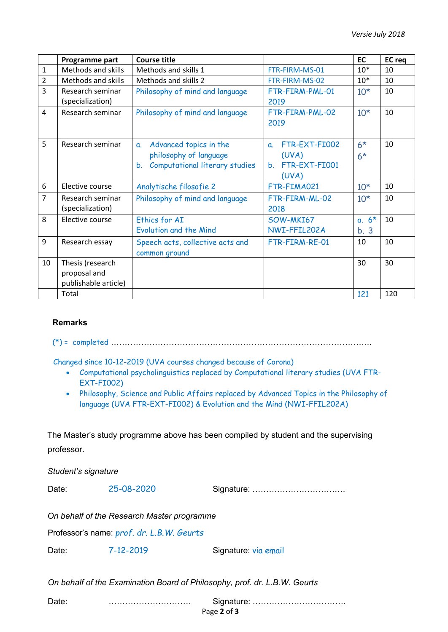|                | Programme part            | <b>Course title</b>                               |                                | EC                     | <b>EC</b> req |
|----------------|---------------------------|---------------------------------------------------|--------------------------------|------------------------|---------------|
| $\mathbf{1}$   | Methods and skills        | Methods and skills 1                              | FTR-FIRM-MS-01                 | $10*$                  | 10            |
| $\overline{2}$ | <b>Methods and skills</b> | Methods and skills 2                              | FTR-FIRM-MS-02                 | $10*$                  | 10            |
| 3              | Research seminar          | Philosophy of mind and language                   | FTR-FIRM-PML-01                | $10*$                  | 10            |
|                | (specialization)          |                                                   | 2019                           |                        |               |
| 4              | Research seminar          | Philosophy of mind and language                   | FTR-FIRM-PML-02<br>2019        | $10*$                  | 10            |
| 5              | Research seminar          | Advanced topics in the<br>$\mathbf{a}$ .          | FTR-EXT-FI002<br>a.            | $6*$                   | 10            |
|                |                           | philosophy of language                            | (UVA)                          | $6*$                   |               |
|                |                           | Computational literary studies<br>$b_{1}$         | FTR-EXT-FI001<br>$\mathbf b$ . |                        |               |
|                |                           |                                                   | (UVA)                          |                        |               |
| 6              | Elective course           | Analytische filosofie 2                           | FTR-FIMA021                    | $10*$                  | 10            |
| $\overline{7}$ | Research seminar          | Philosophy of mind and language                   | FTR-FIRM-ML-02                 | $10*$                  | 10            |
|                | (specialization)          |                                                   | 2018                           |                        |               |
| 8              | Elective course           | Ethics for AI                                     | SOW-MKI67                      | $6*$<br>$\mathbf{a}$ . | 10            |
|                |                           | <b>Evolution and the Mind</b>                     | NWI-FFIL202A                   | b.3                    |               |
| 9              | Research essay            | Speech acts, collective acts and<br>common ground | FTR-FIRM-RE-01                 | 10                     | 10            |
| 10             | Thesis (research          |                                                   |                                | 30                     | 30            |
|                | proposal and              |                                                   |                                |                        |               |
|                | publishable article)      |                                                   |                                |                        |               |
|                | Total                     |                                                   |                                | 121                    | 120           |

## **Remarks**

(\*) = completed …………………………………………………………………………………..

Changed since 10-12-2019 (UVA courses changed because of Corona)

- Computational psycholinguistics replaced by Computational literary studies (UVA FTR-EXT-FI002)
- Philosophy, Science and Public Affairs replaced by Advanced Topics in the Philosophy of language (UVA FTR-EXT-FI002) & Evolution and the Mind (NWI-FFIL202A)

The Master's study programme above has been compiled by student and the supervising professor.

*Student's signature*

Date: 25-08-2020 Signature: …………………………….

*On behalf of the Research Master programme*

Professor's name: *prof. dr. L.B.W. Geurts*

Date: 7-12-2019 Signature: via email

*On behalf of the Examination Board of Philosophy, prof. dr. L.B.W. Geurts*

Page **2** of **3** Date: ………………………… Signature: …………………………….